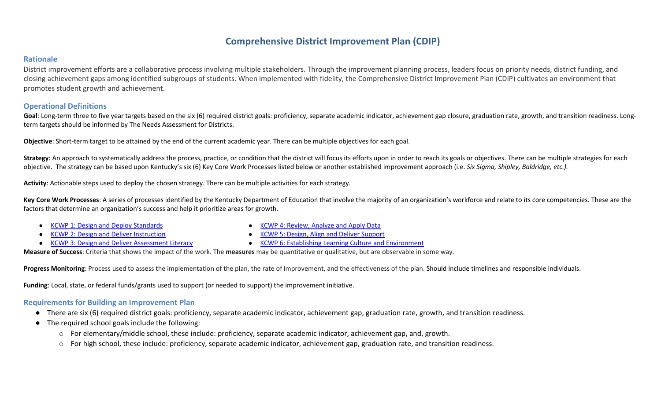# **Comprehensive District Improvement Plan (CDIP)**

#### **Rationale**

District improvement efforts are a collaborative process involving multiple stakeholders. Through the improvement planning process, leaders focus on priority needs, district funding, and closing achievement gaps among identified subgroups of students. When implemented with fidelity, the Comprehensive District Improvement Plan (CDIP) cultivates an environment that promotes student growth and achievement.

### **Operational Definitions**

Goal: Long-term three to five year targets based on the six (6) required district goals: proficiency, separate academic indicator, achievement gap closure, graduation rate, growth, and transition readiness. Longterm targets should be informed by The Needs Assessment for Districts.

**Objective**: Short-term target to be attained by the end of the current academic year. There can be multiple objectives for each goal.

Strategy: An approach to systematically address the process, practice, or condition that the district will focus its efforts upon in order to reach its goals or objectives. There can be multiple strategies for each objective. The strategy can be based upon Kentucky's six (6) Key Core Work Processes listed below or another established improvement approach (i.e. *Six Sigma, Shipley, Baldridge, etc.).*

**Activity**: Actionable steps used to deploy the chosen strategy. There can be multiple activities for each strategy.

Key Core Work Processes: A series of processes identified by the Kentucky Department of Education that involve the majority of an organization's workforce and relate to its core competencies. These are the factors that determine an organization's success and help it prioritize areas for growth.

- [KCWP 1: Design and Deploy Standards](https://education.ky.gov/school/csip/Documents/KCWP%201%20Strategic%20Design%20and%20Deploy%20Standards.pdf)
- **[KCWP 2: Design and Deliver Instruction](https://education.ky.gov/school/csip/Documents/KCWP%202%20Strategic%20Design%20and%20Deliver%20Instruction.pdf)**
- [KCWP 3: Design and Deliver Assessment Literacy](https://education.ky.gov/school/csip/Documents/KCWP%203%20Strategic%20Design%20and%20Deliver%20Assessment%20Literacy.pdf)
- [KCWP 4: Review, Analyze and Apply Data](https://education.ky.gov/school/csip/Documents/KCWP%204%20Strategic%20Review%20Analyze%20and%20Apply%20Data.pdf)
- [KCWP 5: Design, Align and Deliver Support](https://education.ky.gov/school/csip/Documents/KCWP%205%20Strategic%20Design%20Align%20Deliver%20Support%20Processes.pdf)
- [KCWP 6: Establishing Learning Culture and Environment](https://education.ky.gov/school/csip/Documents/KCWP%206%20Strategic%20Establish%20Learning%20Culture%20and%20Environment.pdf)

**Measure of Success**: Criteria that shows the impact of the work. The **measures** may be quantitative or qualitative, but are observable in some way.

Progress Monitoring: Process used to assess the implementation of the plan, the rate of improvement, and the effectiveness of the plan. Should include timelines and responsible individuals.

**Funding**: Local, state, or federal funds/grants used to support (or needed to support) the improvement initiative.

### **Requirements for Building an Improvement Plan**

- There are six (6) required district goals: proficiency, separate academic indicator, achievement gap, graduation rate, growth, and transition readiness.
- The required school goals include the following:
	- o For elementary/middle school, these include: proficiency, separate academic indicator, achievement gap, and, growth.
	- o For high school, these include: proficiency, separate academic indicator, achievement gap, graduation rate, and transition readiness.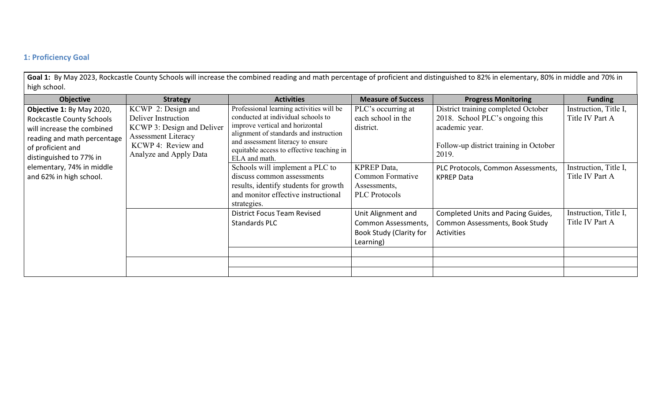## **1: Proficiency Goal**

Goal 1: By May 2023, Rockcastle County Schools will increase the combined reading and math percentage of proficient and distinguished to 82% in elementary, 80% in middle and 70% in high school.

| <b>Objective</b>                 | <b>Strategy</b>            | <b>Activities</b>                                                           | <b>Measure of Success</b>      | <b>Progress Monitoring</b>             | <b>Funding</b>        |
|----------------------------------|----------------------------|-----------------------------------------------------------------------------|--------------------------------|----------------------------------------|-----------------------|
| Objective 1: By May 2020,        | KCWP 2: Design and         | Professional learning activities will be                                    | PLC's occurring at             | District training completed October    | Instruction, Title I, |
| <b>Rockcastle County Schools</b> | Deliver Instruction        | conducted at individual schools to                                          | each school in the             | 2018. School PLC's ongoing this        | Title IV Part A       |
| will increase the combined       | KCWP 3: Design and Deliver | improve vertical and horizontal                                             | district.                      | academic year.                         |                       |
| reading and math percentage      | <b>Assessment Literacy</b> | alignment of standards and instruction<br>and assessment literacy to ensure |                                |                                        |                       |
| of proficient and                | KCWP 4: Review and         | equitable access to effective teaching in                                   |                                | Follow-up district training in October |                       |
| distinguished to 77% in          | Analyze and Apply Data     | ELA and math.                                                               |                                | 2019.                                  |                       |
| elementary, 74% in middle        |                            | Schools will implement a PLC to                                             | <b>KPREP</b> Data,             | PLC Protocols, Common Assessments,     | Instruction, Title I, |
| and 62% in high school.          |                            | discuss common assessments                                                  | Common Formative               | <b>KPREP Data</b>                      | Title IV Part A       |
|                                  |                            | results, identify students for growth                                       | Assessments,                   |                                        |                       |
|                                  |                            | and monitor effective instructional                                         | <b>PLC</b> Protocols           |                                        |                       |
|                                  |                            | strategies.                                                                 |                                |                                        |                       |
|                                  |                            | <b>District Focus Team Revised</b>                                          | Unit Alignment and             | Completed Units and Pacing Guides,     | Instruction, Title I, |
|                                  |                            | <b>Standards PLC</b>                                                        | Common Assessments,            | Common Assessments, Book Study         | Title IV Part A       |
|                                  |                            |                                                                             | <b>Book Study (Clarity for</b> | Activities                             |                       |
|                                  |                            |                                                                             | Learning)                      |                                        |                       |
|                                  |                            |                                                                             |                                |                                        |                       |
|                                  |                            |                                                                             |                                |                                        |                       |
|                                  |                            |                                                                             |                                |                                        |                       |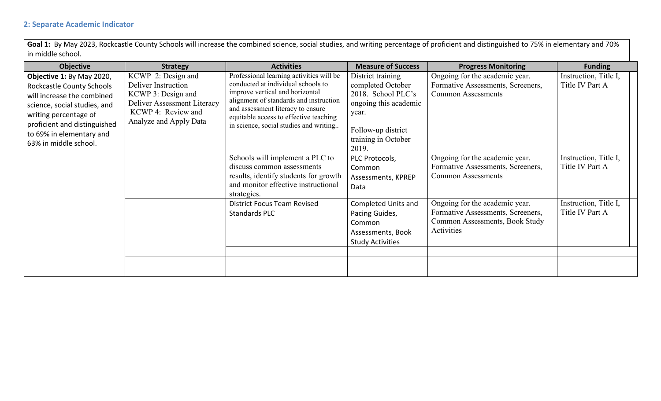## **2: Separate Academic Indicator**

Goal 1: By May 2023, Rockcastle County Schools will increase the combined science, social studies, and writing percentage of proficient and distinguished to 75% in elementary and 70% in middle school.

| <b>Objective</b>                                                                                                                                                                                                                   | <b>Strategy</b>                                                                                                                                | <b>Activities</b>                                                                                                                                                                                                                                                                    | <b>Measure of Success</b>                                                                                                                            | <b>Progress Monitoring</b>                                                                                          | <b>Funding</b>                           |
|------------------------------------------------------------------------------------------------------------------------------------------------------------------------------------------------------------------------------------|------------------------------------------------------------------------------------------------------------------------------------------------|--------------------------------------------------------------------------------------------------------------------------------------------------------------------------------------------------------------------------------------------------------------------------------------|------------------------------------------------------------------------------------------------------------------------------------------------------|---------------------------------------------------------------------------------------------------------------------|------------------------------------------|
| Objective 1: By May 2020,<br>Rockcastle County Schools<br>will increase the combined<br>science, social studies, and<br>writing percentage of<br>proficient and distinguished<br>to 69% in elementary and<br>63% in middle school. | KCWP 2: Design and<br>Deliver Instruction<br>KCWP 3: Design and<br>Deliver Assessment Literacy<br>KCWP 4: Review and<br>Analyze and Apply Data | Professional learning activities will be<br>conducted at individual schools to<br>improve vertical and horizontal<br>alignment of standards and instruction<br>and assessment literacy to ensure<br>equitable access to effective teaching<br>in science, social studies and writing | District training<br>completed October<br>2018. School PLC's<br>ongoing this academic<br>year.<br>Follow-up district<br>training in October<br>2019. | Ongoing for the academic year.<br>Formative Assessments, Screeners,<br><b>Common Assessments</b>                    | Instruction, Title I,<br>Title IV Part A |
|                                                                                                                                                                                                                                    |                                                                                                                                                | Schools will implement a PLC to<br>discuss common assessments<br>results, identify students for growth<br>and monitor effective instructional<br>strategies.                                                                                                                         | PLC Protocols,<br>Common<br>Assessments, KPREP<br>Data                                                                                               | Ongoing for the academic year.<br>Formative Assessments, Screeners,<br><b>Common Assessments</b>                    | Instruction, Title I,<br>Title IV Part A |
|                                                                                                                                                                                                                                    |                                                                                                                                                | <b>District Focus Team Revised</b><br>Standards PLC                                                                                                                                                                                                                                  | Completed Units and<br>Pacing Guides,<br>Common<br>Assessments, Book<br><b>Study Activities</b>                                                      | Ongoing for the academic year.<br>Formative Assessments, Screeners,<br>Common Assessments, Book Study<br>Activities | Instruction, Title I,<br>Title IV Part A |
|                                                                                                                                                                                                                                    |                                                                                                                                                |                                                                                                                                                                                                                                                                                      |                                                                                                                                                      |                                                                                                                     |                                          |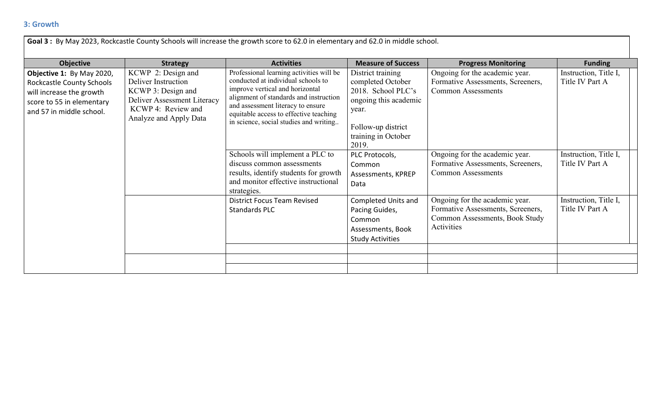| <b>Strategy</b>                                                                                                                                | <b>Activities</b>                                                                                                                                                                                                                                                                    | <b>Measure of Success</b>                                                                                                                            | <b>Progress Monitoring</b>                                                                                          | <b>Funding</b>                           |
|------------------------------------------------------------------------------------------------------------------------------------------------|--------------------------------------------------------------------------------------------------------------------------------------------------------------------------------------------------------------------------------------------------------------------------------------|------------------------------------------------------------------------------------------------------------------------------------------------------|---------------------------------------------------------------------------------------------------------------------|------------------------------------------|
| KCWP 2: Design and<br>Deliver Instruction<br>KCWP 3: Design and<br>Deliver Assessment Literacy<br>KCWP 4: Review and<br>Analyze and Apply Data | Professional learning activities will be<br>conducted at individual schools to<br>improve vertical and horizontal<br>alignment of standards and instruction<br>and assessment literacy to ensure<br>equitable access to effective teaching<br>in science, social studies and writing | District training<br>completed October<br>2018. School PLC's<br>ongoing this academic<br>year.<br>Follow-up district<br>training in October<br>2019. | Ongoing for the academic year.<br>Formative Assessments, Screeners,<br><b>Common Assessments</b>                    | Instruction, Title I,<br>Title IV Part A |
|                                                                                                                                                | Schools will implement a PLC to<br>discuss common assessments<br>results, identify students for growth<br>and monitor effective instructional                                                                                                                                        | PLC Protocols,<br>Common<br>Assessments, KPREP<br>Data                                                                                               | Ongoing for the academic year.<br>Formative Assessments, Screeners,<br><b>Common Assessments</b>                    | Instruction, Title I,<br>Title IV Part A |
|                                                                                                                                                | <b>District Focus Team Revised</b><br><b>Standards PLC</b>                                                                                                                                                                                                                           | Completed Units and<br>Pacing Guides,<br>Common<br>Assessments, Book<br><b>Study Activities</b>                                                      | Ongoing for the academic year.<br>Formative Assessments, Screeners,<br>Common Assessments, Book Study<br>Activities | Instruction, Title I,<br>Title IV Part A |
|                                                                                                                                                |                                                                                                                                                                                                                                                                                      | strategies.                                                                                                                                          |                                                                                                                     |                                          |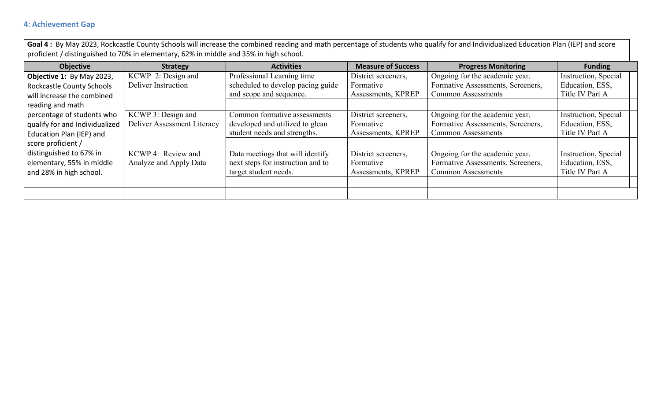## **4: Achievement Gap**

Goal 4: By May 2023, Rockcastle County Schools will increase the combined reading and math percentage of students who qualify for and Individualized Education Plan (IEP) and score proficient / distinguished to 70% in elementary, 62% in middle and 35% in high school.

| <b>Objective</b>               | <b>Strategy</b>             | <b>Activities</b>                 | <b>Measure of Success</b> | <b>Progress Monitoring</b>        | <b>Funding</b>       |
|--------------------------------|-----------------------------|-----------------------------------|---------------------------|-----------------------------------|----------------------|
| Objective 1: By May 2023,      | KCWP 2: Design and          | Professional Learning time        | District screeners,       | Ongoing for the academic year.    | Instruction, Special |
| Rockcastle County Schools      | Deliver Instruction         | scheduled to develop pacing guide | Formative                 | Formative Assessments, Screeners, | Education, ESS,      |
| will increase the combined     |                             | and scope and sequence.           | Assessments, KPREP        | <b>Common Assessments</b>         | Title IV Part A      |
| reading and math               |                             |                                   |                           |                                   |                      |
| percentage of students who     | KCWP 3: Design and          | Common formative assessments      | District screeners,       | Ongoing for the academic year.    | Instruction, Special |
| qualify for and Individualized | Deliver Assessment Literacy | developed and utilized to glean   | Formative                 | Formative Assessments, Screeners, | Education, ESS,      |
| Education Plan (IEP) and       |                             | student needs and strengths.      | Assessments, KPREP        | <b>Common Assessments</b>         | Title IV Part A      |
| score proficient /             |                             |                                   |                           |                                   |                      |
| distinguished to 67% in        | KCWP 4: Review and          | Data meetings that will identify  | District screeners,       | Ongoing for the academic year.    | Instruction, Special |
| elementary, 55% in middle      | Analyze and Apply Data      | next steps for instruction and to | Formative                 | Formative Assessments, Screeners, | Education, ESS,      |
| and 28% in high school.        |                             | target student needs.             | Assessments, KPREP        | <b>Common Assessments</b>         | Title IV Part A      |
|                                |                             |                                   |                           |                                   |                      |
|                                |                             |                                   |                           |                                   |                      |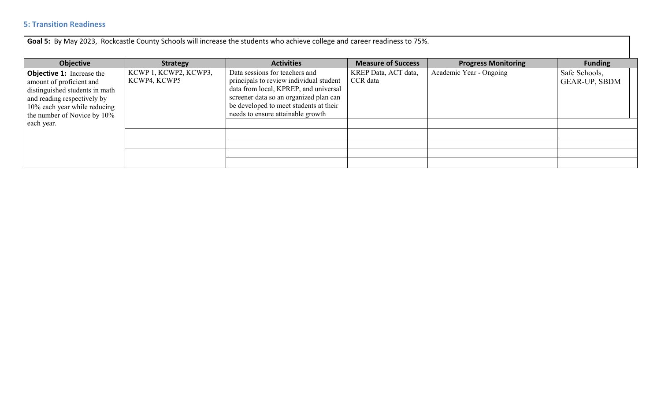## **5: Transition Readiness**

**Goal 5:** By May 2023, Rockcastle County Schools will increase the students who achieve college and career readiness to 75%.

| Objective                                                                                                                                                                                    | <b>Strategy</b>                       | <b>Activities</b>                                                                                                                                                                                                                           | <b>Measure of Success</b>        | <b>Progress Monitoring</b> | <b>Funding</b>                 |
|----------------------------------------------------------------------------------------------------------------------------------------------------------------------------------------------|---------------------------------------|---------------------------------------------------------------------------------------------------------------------------------------------------------------------------------------------------------------------------------------------|----------------------------------|----------------------------|--------------------------------|
| <b>Objective 1:</b> Increase the<br>amount of proficient and<br>distinguished students in math<br>and reading respectively by<br>10% each year while reducing<br>the number of Novice by 10% | KCWP 1, KCWP2, KCWP3,<br>KCWP4, KCWP5 | Data sessions for teachers and<br>principals to review individual student<br>data from local, KPREP, and universal<br>screener data so an organized plan can<br>be developed to meet students at their<br>needs to ensure attainable growth | KREP Data, ACT data,<br>CCR data | Academic Year - Ongoing    | Safe Schools,<br>GEAR-UP, SBDM |
| each year.                                                                                                                                                                                   |                                       |                                                                                                                                                                                                                                             |                                  |                            |                                |
|                                                                                                                                                                                              |                                       |                                                                                                                                                                                                                                             |                                  |                            |                                |
|                                                                                                                                                                                              |                                       |                                                                                                                                                                                                                                             |                                  |                            |                                |
|                                                                                                                                                                                              |                                       |                                                                                                                                                                                                                                             |                                  |                            |                                |
|                                                                                                                                                                                              |                                       |                                                                                                                                                                                                                                             |                                  |                            |                                |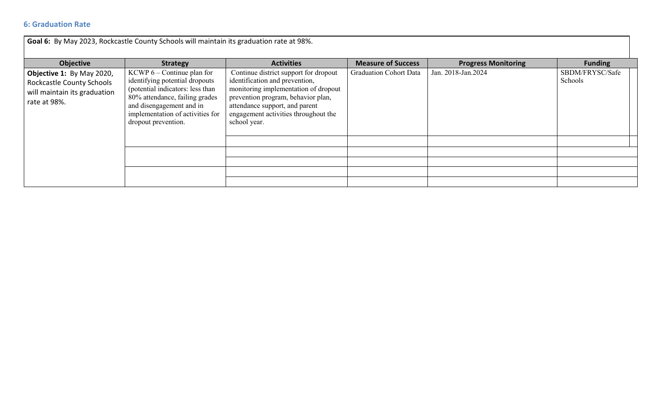## **6: Graduation Rate**

| Goal 6: By May 2023, Rockcastle County Schools will maintain its graduation rate at 98%.                      |                                                                                                                                                                                                                             |                                                                                                                                                                                                                                                 |                               |                            |                            |  |
|---------------------------------------------------------------------------------------------------------------|-----------------------------------------------------------------------------------------------------------------------------------------------------------------------------------------------------------------------------|-------------------------------------------------------------------------------------------------------------------------------------------------------------------------------------------------------------------------------------------------|-------------------------------|----------------------------|----------------------------|--|
| <b>Objective</b>                                                                                              | <b>Strategy</b>                                                                                                                                                                                                             | <b>Activities</b>                                                                                                                                                                                                                               | <b>Measure of Success</b>     | <b>Progress Monitoring</b> | <b>Funding</b>             |  |
| Objective 1: By May 2020,<br><b>Rockcastle County Schools</b><br>will maintain its graduation<br>rate at 98%. | KCWP $6$ – Continue plan for<br>identifying potential dropouts<br>(potential indicators: less than<br>80% attendance, failing grades<br>and disengagement and in<br>implementation of activities for<br>dropout prevention. | Continue district support for dropout<br>identification and prevention,<br>monitoring implementation of dropout<br>prevention program, behavior plan,<br>attendance support, and parent<br>engagement activities throughout the<br>school year. | <b>Graduation Cohort Data</b> | Jan. 2018-Jan. 2024        | SBDM/FRYSC/Safe<br>Schools |  |
|                                                                                                               |                                                                                                                                                                                                                             |                                                                                                                                                                                                                                                 |                               |                            |                            |  |
|                                                                                                               |                                                                                                                                                                                                                             |                                                                                                                                                                                                                                                 |                               |                            |                            |  |
|                                                                                                               |                                                                                                                                                                                                                             |                                                                                                                                                                                                                                                 |                               |                            |                            |  |
|                                                                                                               |                                                                                                                                                                                                                             |                                                                                                                                                                                                                                                 |                               |                            |                            |  |
|                                                                                                               |                                                                                                                                                                                                                             |                                                                                                                                                                                                                                                 |                               |                            |                            |  |